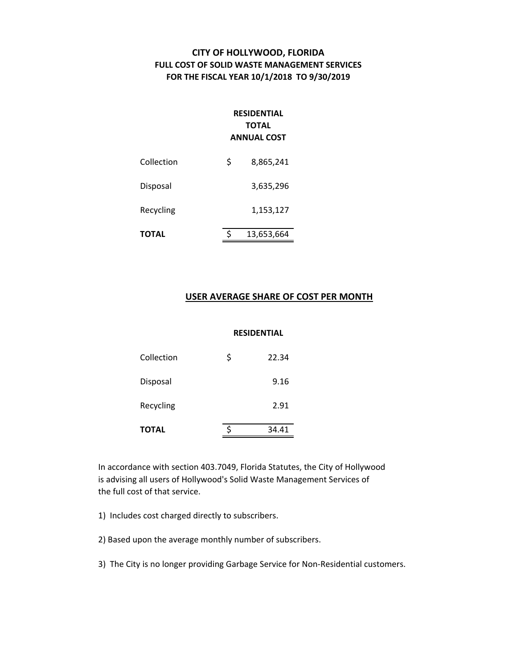# **CITY OF HOLLYWOOD, FLORIDA FULL COST OF SOLID WASTE MANAGEMENT SERVICES FOR THE FISCAL YEAR 10/1/2018 TO 9/30/2019**

# **RESIDENTIAL TOTAL ANNUAL COST**

| <b>TOTAL</b> | \$<br>13,653,664 |
|--------------|------------------|
| Recycling    | 1,153,127        |
| Disposal     | 3,635,296        |
| Collection   | \$<br>8,865,241  |

## **USER AVERAGE SHARE OF COST PER MONTH**

#### **RESIDENTIAL**

| TOTAL      | 34.41       |
|------------|-------------|
| Recycling  | 2.91        |
| Disposal   | 9.16        |
| Collection | \$<br>22.34 |

In accordance with section 403.7049, Florida Statutes, the City of Hollywood is advising all users of Hollywood's Solid Waste Management Services of the full cost of that service.

1) Includes cost charged directly to subscribers.

2) Based upon the average monthly number of subscribers.

3) The City is no longer providing Garbage Service for Non‐Residential customers.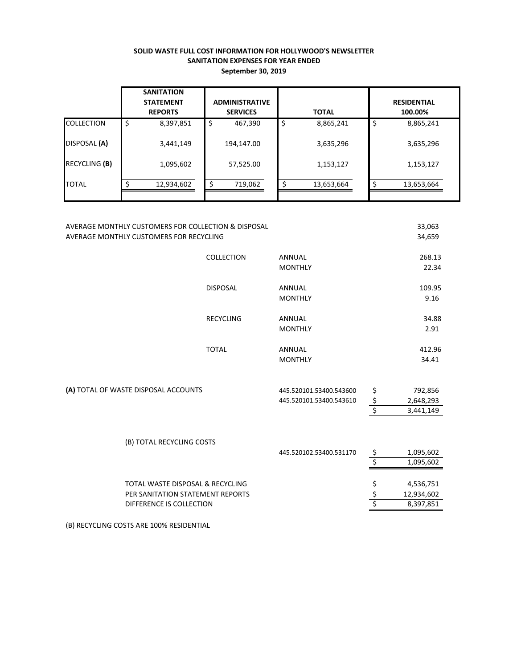## **SOLID WASTE FULL COST INFORMATION FOR HOLLYWOOD'S NEWSLETTER SANITATION EXPENSES FOR YEAR ENDED September 30, 2019**

|                   | <b>SANITATION</b><br><b>STATEMENT</b><br><b>REPORTS</b> | <b>ADMINISTRATIVE</b><br><b>SERVICES</b> | <b>TOTAL</b>    | <b>RESIDENTIAL</b><br>100.00% |
|-------------------|---------------------------------------------------------|------------------------------------------|-----------------|-------------------------------|
| <b>COLLECTION</b> | \$<br>8,397,851                                         | \$<br>467,390                            | \$<br>8,865,241 | \$<br>8,865,241               |
| DISPOSAL (A)      | 3,441,149                                               | 194,147.00                               | 3,635,296       | 3,635,296                     |
| RECYCLING (B)     | 1,095,602                                               | 57,525.00                                | 1,153,127       | 1,153,127                     |
| <b>TOTAL</b>      | 12,934,602                                              | 719,062                                  | 13,653,664      | 13,653,664                    |
|                   |                                                         |                                          |                 |                               |

| AVERAGE MONTHLY CUSTOMERS FOR COLLECTION & DISPOSAL |                                      |                  |                         |                  | 33,063     |
|-----------------------------------------------------|--------------------------------------|------------------|-------------------------|------------------|------------|
| AVERAGE MONTHLY CUSTOMERS FOR RECYCLING             |                                      |                  |                         | 34,659           |            |
|                                                     |                                      |                  |                         |                  |            |
|                                                     |                                      | COLLECTION       | <b>ANNUAL</b>           |                  | 268.13     |
|                                                     |                                      |                  | <b>MONTHLY</b>          |                  | 22.34      |
|                                                     |                                      | <b>DISPOSAL</b>  | <b>ANNUAL</b>           |                  | 109.95     |
|                                                     |                                      |                  | <b>MONTHLY</b>          |                  | 9.16       |
|                                                     |                                      |                  |                         |                  |            |
|                                                     |                                      | <b>RECYCLING</b> | <b>ANNUAL</b>           |                  | 34.88      |
|                                                     |                                      |                  | <b>MONTHLY</b>          |                  | 2.91       |
|                                                     |                                      |                  |                         |                  |            |
|                                                     |                                      | <b>TOTAL</b>     | <b>ANNUAL</b>           |                  | 412.96     |
|                                                     |                                      |                  | <b>MONTHLY</b>          |                  | 34.41      |
|                                                     |                                      |                  |                         |                  |            |
|                                                     | (A) TOTAL OF WASTE DISPOSAL ACCOUNTS |                  | 445.520101.53400.543600 | \$               | 792,856    |
|                                                     |                                      |                  | 445.520101.53400.543610 |                  | 2,648,293  |
|                                                     |                                      |                  |                         | $rac{5}{5}$      | 3,441,149  |
|                                                     |                                      |                  |                         |                  |            |
|                                                     |                                      |                  |                         |                  |            |
|                                                     | (B) TOTAL RECYCLING COSTS            |                  |                         |                  |            |
|                                                     |                                      |                  | 445.520102.53400.531170 | \$               | 1,095,602  |
|                                                     |                                      |                  |                         | $\overline{\xi}$ | 1,095,602  |
|                                                     | TOTAL WASTE DISPOSAL & RECYCLING     |                  |                         | \$               | 4,536,751  |
|                                                     | PER SANITATION STATEMENT REPORTS     |                  |                         | \$               | 12,934,602 |
|                                                     | DIFFERENCE IS COLLECTION             |                  |                         | \$               | 8,397,851  |
|                                                     |                                      |                  |                         |                  |            |
|                                                     |                                      |                  |                         |                  |            |

(B) RECYCLING COSTS ARE 100% RESIDENTIAL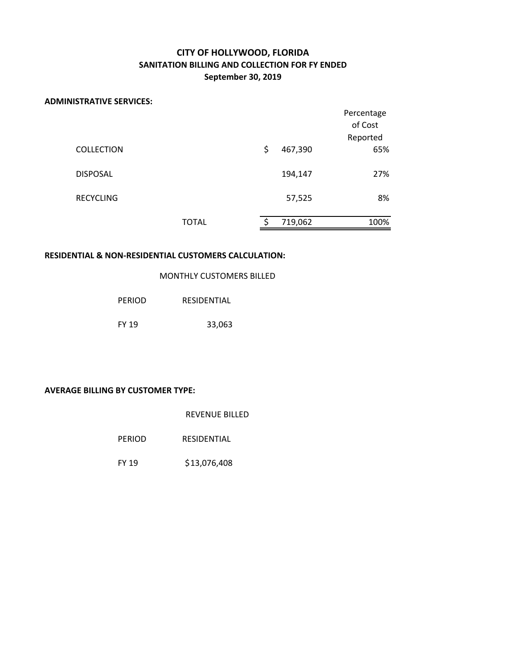# **CITY OF HOLLYWOOD, FLORIDA SANITATION BILLING AND COLLECTION FOR FY ENDED September 30, 2019**

#### **ADMINISTRATIVE SERVICES:**

|                   |       |               | Percentage<br>of Cost<br>Reported |
|-------------------|-------|---------------|-----------------------------------|
| <b>COLLECTION</b> |       | \$<br>467,390 | 65%                               |
| <b>DISPOSAL</b>   |       | 194,147       | 27%                               |
| <b>RECYCLING</b>  |       | 57,525        | 8%                                |
|                   | TOTAL | \$<br>719,062 | 100%                              |

## **RESIDENTIAL & NON‐RESIDENTIAL CUSTOMERS CALCULATION:**

MONTHLY CUSTOMERS BILLED

| PERIOD       | <b>RESIDENTIAL</b> |
|--------------|--------------------|
| <b>FY 19</b> | 33,063             |

## **AVERAGE BILLING BY CUSTOMER TYPE:**

REVENUE BILLED

FY 19 \$13,076,408